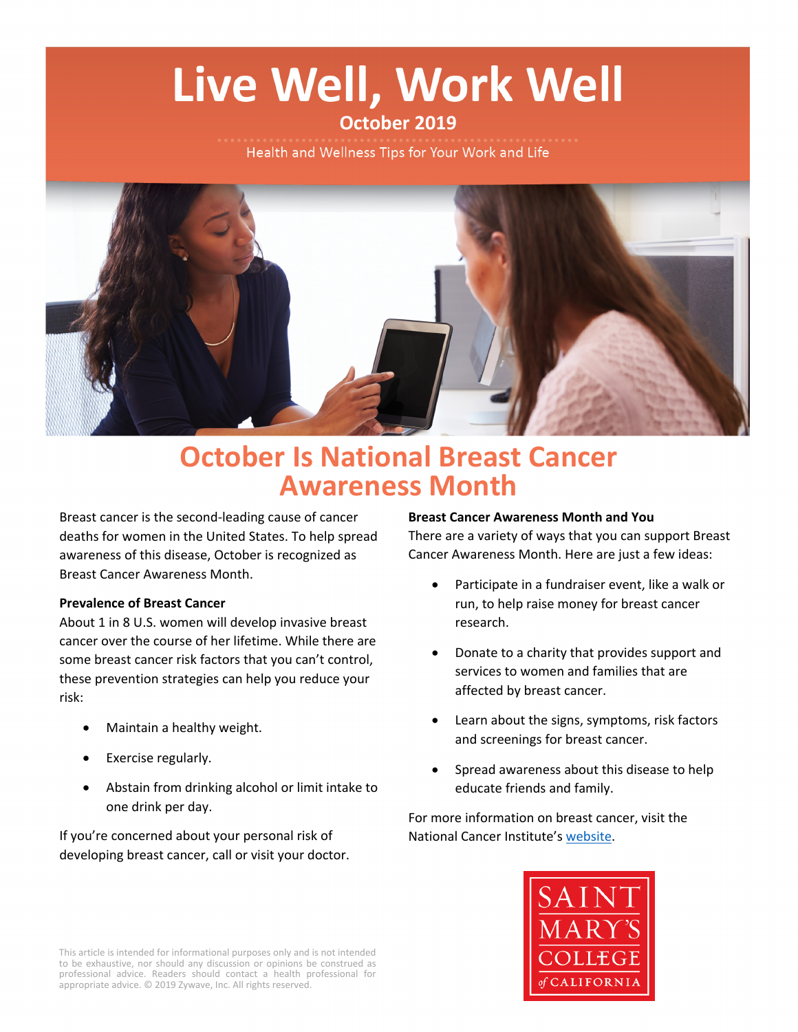# Live Well, Work Well

## **October 2019**

Health and Wellness Tips for Your Work and Life



## **October Is National Breast Cancer Awareness Month**

Breast cancer is the second-leading cause of cancer deaths for women in the United States. To help spread awareness of this disease, October is recognized as Breast Cancer Awareness Month.

#### **Prevalence of Breast Cancer**

About 1 in 8 U.S. women will develop invasive breast cancer over the course of her lifetime. While there are some breast cancer risk factors that you can't control, these prevention strategies can help you reduce your risk:

- Maintain a healthy weight.
- Exercise regularly.
- Abstain from drinking alcohol or limit intake to one drink per day.

If you're concerned about your personal risk of developing breast cancer, call or visit your doctor.

#### **Breast Cancer Awareness Month and You**

There are a variety of ways that you can support Breast Cancer Awareness Month. Here are just a few ideas:

- Participate in a fundraiser event, like a walk or run, to help raise money for breast cancer research.
- Donate to a charity that provides support and services to women and families that are affected by breast cancer.
- Learn about the signs, symptoms, risk factors and screenings for breast cancer.
- Spread awareness about this disease to help educate friends and family.

For more information on breast cancer, visit the National Cancer Institute's [website](https://www.cancer.gov/types/breast).



This article is intended for informational purposes only and is not intended to be exhaustive, nor should any discussion or opinions be construed as professional advice. Readers should contact a health professional for appropriate advice. © 2019 Zywave, Inc. All rights reserved.